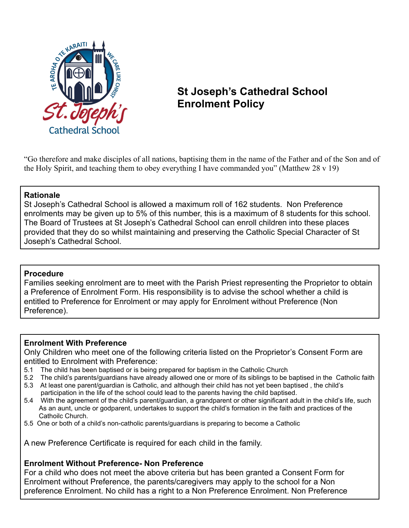

# **St Joseph's Cathedral School Enrolment Policy**

"Go therefore and make disciples of all nations, baptising them in the name of the Father and of the Son and of the Holy Spirit, and teaching them to obey everything I have commanded you" (Matthew 28 v 19)

### **Rationale**

St Joseph's Cathedral School is allowed a maximum roll of 162 students. Non Preference enrolments may be given up to 5% of this number, this is a maximum of 8 students for this school. The Board of Trustees at St Joseph's Cathedral School can enroll children into these places provided that they do so whilst maintaining and preserving the Catholic Special Character of St Joseph's Cathedral School.

#### **Procedure**

Families seeking enrolment are to meet with the Parish Priest representing the Proprietor to obtain a Preference of Enrolment Form. His responsibility is to advise the school whether a child is entitled to Preference for Enrolment or may apply for Enrolment without Preference (Non Preference).

#### **Enrolment With Preference**

Only Children who meet one of the following criteria listed on the Proprietor's Consent Form are entitled to Enrolment with Preference:

- 5.1 The child has been baptised or is being prepared for baptism in the Catholic Church
- 5.2 The child's parents/guardians have already allowed one or more of its siblings to be baptised in the Catholic faith
- 5.3 At least one parent/guardian is Catholic, and although their child has not yet been baptised , the child's participation in the life of the school could lead to the parents having the child baptised.
- 5.4 With the agreement of the child's parent/guardian, a grandparent or other significant adult in the child's life, such As an aunt, uncle or godparent, undertakes to support the child's formation in the faith and practices of the Cathoilc Church.
- 5.5 One or both of a child's non-catholic parents/guardians is preparing to become a Catholic

A new Preference Certificate is required for each child in the family.

## **Enrolment Without Preference- Non Preference**

For a child who does not meet the above criteria but has been granted a Consent Form for Enrolment without Preference, the parents/caregivers may apply to the school for a Non preference Enrolment. No child has a right to a Non Preference Enrolment. Non Preference